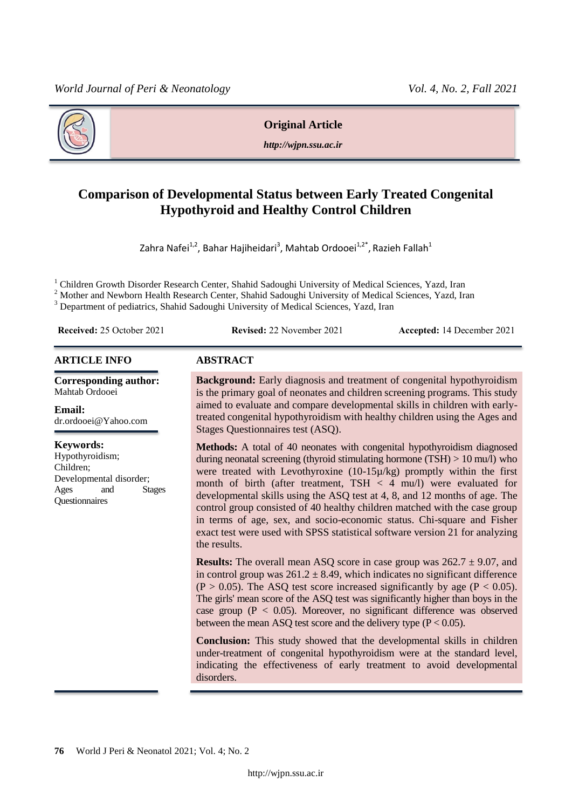

**Original Article**

*http://wjpn.ssu.ac.ir*

# **Comparison of Developmental Status between Early Treated Congenital Hypothyroid and Healthy Control Children**

Zahra Nafei $^{1,2}$ , Bahar Hajiheidari $^3$ , Mahtab Ordooei $^{1,2^*}$ , Razieh Fallah $^1$ 

<sup>1</sup> Children Growth Disorder Research Center, Shahid Sadoughi University of Medical Sciences, Yazd, Iran

<sup>2</sup> Mother and Newborn Health Research Center, Shahid Sadoughi University of Medical Sciences, Yazd, Iran <sup>3</sup> Department of pediatrics, Shahid Sadoughi University of Medical Sciences, Yazd, Iran

**Received:** 25 October 2021 **Revised:** 22 November 2021 **Accepted:** 14 December 2021

#### **ARTICLE INFO ABSTRACT**

**Corresponding author:** Mahtab Ordooei

**Email:**  dr.ordooei@Yahoo.com

### **Keywords:**

Hypothyroidism; Children; Developmental disorder; Ages and Stages **Ouestionnaires** 

**Background:** Early diagnosis and treatment of congenital hypothyroidism is the primary goal of neonates and children screening programs. This study aimed to evaluate and compare developmental skills in children with earlytreated congenital hypothyroidism with healthy children using the Ages and Stages Questionnaires test (ASQ).

**Methods:** A total of 40 neonates with congenital hypothyroidism diagnosed during neonatal screening (thyroid stimulating hormone (TSH) > 10 mu/l) who were treated with Levothyroxine (10-15µ/kg) promptly within the first month of birth (after treatment, TSH < 4 mu/l) were evaluated for developmental skills using the ASQ test at 4, 8, and 12 months of age. The control group consisted of 40 healthy children matched with the case group in terms of age, sex, and socio-economic status. Chi-square and Fisher exact test were used with SPSS statistical software version 21 for analyzing the results.

**Results:** The overall mean ASQ score in case group was  $262.7 \pm 9.07$ , and in control group was  $261.2 \pm 8.49$ , which indicates no significant difference  $(P > 0.05)$ . The ASQ test score increased significantly by age  $(P < 0.05)$ . The girls' mean score of the ASQ test was significantly higher than boys in the case group ( $P < 0.05$ ). Moreover, no significant difference was observed between the mean ASQ test score and the delivery type  $(P < 0.05)$ .

**Conclusion:** This study showed that the developmental skills in children under-treatment of congenital hypothyroidism were at the standard level, indicating the effectiveness of early treatment to avoid developmental disorders.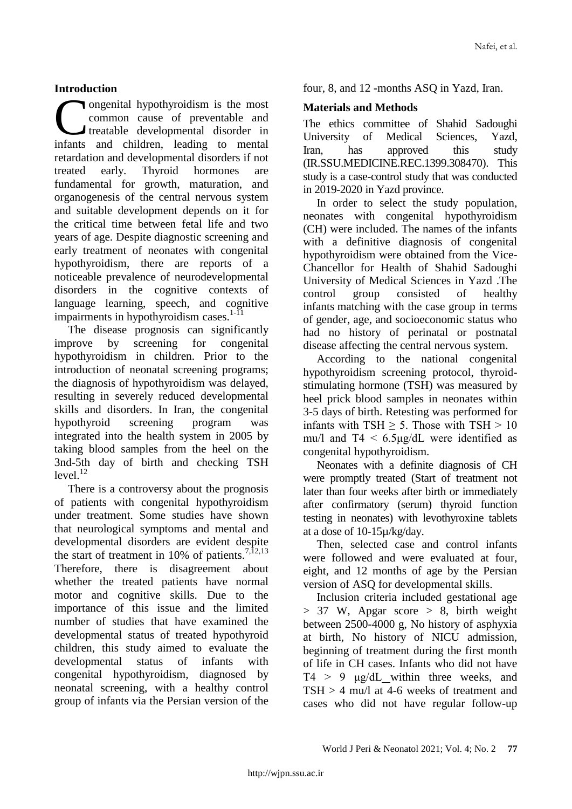# **Introduction**

ongenital hypothyroidism is the most common cause of preventable and treatable developmental disorder in **Contract Common cause of preventable and treatable developmental disorder in infants and children, leading to mental** retardation and developmental disorders if not treated early. Thyroid hormones are fundamental for growth, maturation, and organogenesis of the central nervous system and suitable development depends on it for the critical time between fetal life and two years of age. Despite diagnostic screening and early treatment of neonates with congenital hypothyroidism, there are reports of a noticeable prevalence of neurodevelopmental disorders in the cognitive contexts of language learning, speech, and cognitive impairments in hypothyroidism cases.<sup>1-11</sup>

The disease prognosis can significantly improve by screening for congenital hypothyroidism in children. Prior to the introduction of neonatal screening programs; the diagnosis of hypothyroidism was delayed, resulting in severely reduced developmental skills and disorders. In Iran, the congenital hypothyroid screening program was integrated into the health system in 2005 by taking blood samples from the heel on the 3nd-5th day of birth and checking TSH  $level.<sup>12</sup>$ 

There is a controversy about the prognosis of patients with congenital hypothyroidism under treatment. Some studies have shown that neurological symptoms and mental and developmental disorders are evident despite the start of treatment in 10% of patients.<sup>7,12,13</sup> Therefore, there is disagreement about whether the treated patients have normal motor and cognitive skills. Due to the importance of this issue and the limited number of studies that have examined the developmental status of treated hypothyroid children, this study aimed to evaluate the developmental status of infants with congenital hypothyroidism, diagnosed by neonatal screening, with a healthy control group of infants via the Persian version of the

four, 8, and 12 -months ASQ in Yazd, Iran.

# **Materials and Methods**

The ethics committee of Shahid Sadoughi University of Medical Sciences, Yazd, Iran, has approved this study (IR.SSU.MEDICINE.REC.1399.308470). This study is a case-control study that was conducted in 2019-2020 in Yazd province.

In order to select the study population, neonates with congenital hypothyroidism (CH) were included. The names of the infants with a definitive diagnosis of congenital hypothyroidism were obtained from the Vice-Chancellor for Health of Shahid Sadoughi University of Medical Sciences in Yazd .The control group consisted of healthy infants matching with the case group in terms of gender, age, and socioeconomic status who had no history of perinatal or postnatal disease affecting the central nervous system.

According to the national congenital hypothyroidism screening protocol, thyroidstimulating hormone (TSH) was measured by heel prick blood samples in neonates within 3-5 days of birth. Retesting was performed for infants with TSH  $\geq$  5. Those with TSH  $>$  10 mu/l and  $T4 < 6.5$ ug/dL were identified as congenital hypothyroidism.

Neonates with a definite diagnosis of CH were promptly treated (Start of treatment not later than four weeks after birth or immediately after confirmatory (serum) thyroid function testing in neonates) with levothyroxine tablets at a dose of 10-15µ/kg/day.

Then, selected case and control infants were followed and were evaluated at four, eight, and 12 months of age by the Persian version of ASQ for developmental skills.

Inclusion criteria included gestational age  $> 37$  W, Apgar score  $> 8$ , birth weight between 2500-4000 g, No history of asphyxia at birth, No history of NICU admission, beginning of treatment during the first month of life in CH cases. Infants who did not have  $T4 > 9$   $\mu$ g/dL within three weeks, and TSH > 4 mu/l at 4-6 weeks of treatment and cases who did not have regular follow-up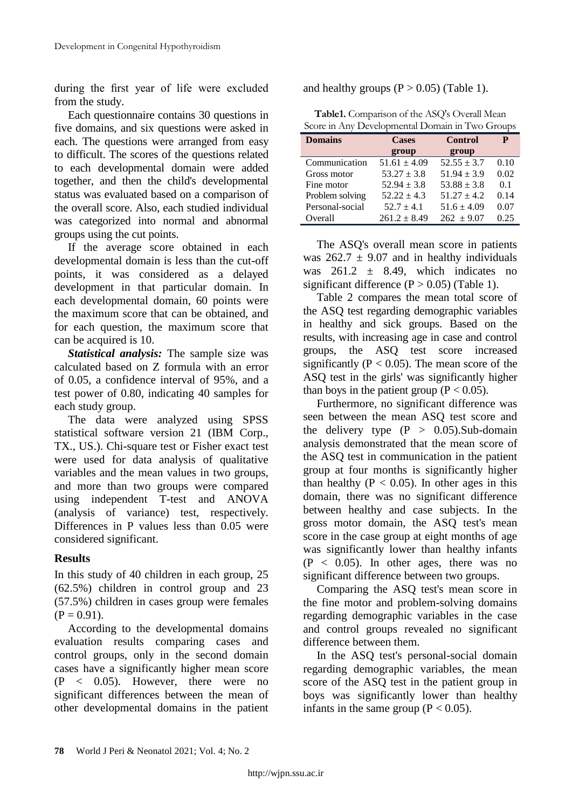during the first year of life were excluded from the study.

Each questionnaire contains 30 questions in five domains, and six questions were asked in each. The questions were arranged from easy to difficult. The scores of the questions related to each developmental domain were added together, and then the child's developmental status was evaluated based on a comparison of the overall score. Also, each studied individual was categorized into normal and abnormal groups using the cut points.

If the average score obtained in each developmental domain is less than the cut-off points, it was considered as a delayed development in that particular domain. In each developmental domain, 60 points were the maximum score that can be obtained, and for each question, the maximum score that can be acquired is 10.

*Statistical analysis:* The sample size was calculated based on Z formula with an error of 0.05, a confidence interval of 95%, and a test power of 0.80, indicating 40 samples for each study group.

The data were analyzed using SPSS statistical software version 21 (IBM Corp., TX., US.). Chi-square test or Fisher exact test were used for data analysis of qualitative variables and the mean values in two groups, and more than two groups were compared using independent T-test and ANOVA (analysis of variance) test, respectively. Differences in P values less than 0.05 were considered significant.

## **Results**

In this study of 40 children in each group, 25 (62.5%) children in control group and 23 (57.5%) children in cases group were females  $(P = 0.91)$ .

According to the developmental domains evaluation results comparing cases and control groups, only in the second domain cases have a significantly higher mean score  $(P < 0.05)$ . However, there were no significant differences between the mean of other developmental domains in the patient and healthy groups  $(P > 0.05)$  (Table 1).

|  | Table1. Comparison of the ASQ's Overall Mean    |  |
|--|-------------------------------------------------|--|
|  | Score in Any Developmental Domain in Two Groups |  |

| <b>Domains</b>  | <b>Cases</b>     | <b>Control</b>  | P    |
|-----------------|------------------|-----------------|------|
|                 | group            | group           |      |
| Communication   | $51.61 \pm 4.09$ | $52.55 \pm 3.7$ | 0.10 |
| Gross motor     | $53.27 \pm 3.8$  | $51.94 \pm 3.9$ | 0.02 |
| Fine motor      | $52.94 \pm 3.8$  | $53.88 \pm 3.8$ | 0.1  |
| Problem solving | $52.22 \pm 4.3$  | $51.27 \pm 4.2$ | 0.14 |
| Personal-social | $52.7 \pm 4.1$   | $51.6 \pm 4.09$ | 0.07 |
| Overall         | $261.2 \pm 8.49$ | $262 + 9.07$    | 0.25 |

The ASQ's overall mean score in patients was  $262.7 \pm 9.07$  and in healthy individuals was  $261.2 \pm 8.49$ , which indicates no significant difference  $(P > 0.05)$  (Table 1).

Table 2 compares the mean total score of the ASQ test regarding demographic variables in healthy and sick groups. Based on the results, with increasing age in case and control groups, the ASQ test score increased significantly ( $P < 0.05$ ). The mean score of the ASQ test in the girls' was significantly higher than boys in the patient group ( $P < 0.05$ ).

Furthermore, no significant difference was seen between the mean ASQ test score and the delivery type  $(P > 0.05)$ . Sub-domain analysis demonstrated that the mean score of the ASQ test in communication in the patient group at four months is significantly higher than healthy ( $P < 0.05$ ). In other ages in this domain, there was no significant difference between healthy and case subjects. In the gross motor domain, the ASQ test's mean score in the case group at eight months of age was significantly lower than healthy infants  $(P < 0.05)$ . In other ages, there was no significant difference between two groups.

Comparing the ASQ test's mean score in the fine motor and problem-solving domains regarding demographic variables in the case and control groups revealed no significant difference between them.

In the ASQ test's personal-social domain regarding demographic variables, the mean score of the ASQ test in the patient group in boys was significantly lower than healthy infants in the same group ( $P < 0.05$ ).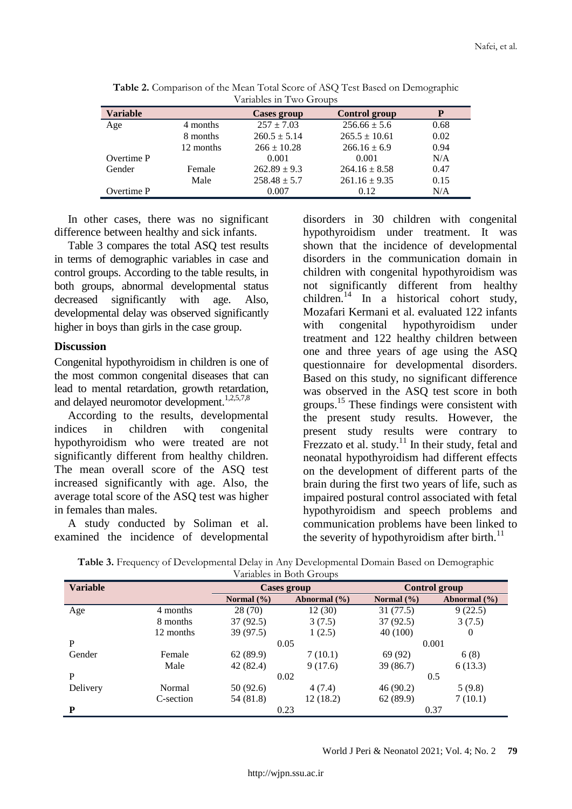| $\alpha$ allables in T we estevation |           |                  |                      |      |
|--------------------------------------|-----------|------------------|----------------------|------|
| <b>Variable</b>                      |           | Cases group      | <b>Control group</b> | P    |
| Age                                  | 4 months  | $257 \pm 7.03$   | $256.66 \pm 5.6$     | 0.68 |
|                                      | 8 months  | $260.5 \pm 5.14$ | $265.5 \pm 10.61$    | 0.02 |
|                                      | 12 months | $266 \pm 10.28$  | $266.16 \pm 6.9$     | 0.94 |
| Overtime P                           |           | 0.001            | 0.001                | N/A  |
| Gender                               | Female    | $262.89 \pm 9.3$ | $264.16 \pm 8.58$    | 0.47 |
|                                      | Male      | $258.48 \pm 5.7$ | $261.16 \pm 9.35$    | 0.15 |
| Overtime P                           |           | 0.007            | 0.12                 | N/A  |

**Table 2.** Comparison of the Mean Total Score of ASQ Test Based on Demographic Variables in Two Groups

In other cases, there was no significant difference between healthy and sick infants.

Table 3 compares the total ASQ test results in terms of demographic variables in case and control groups. According to the table results, in both groups, abnormal developmental status decreased significantly with age. Also, developmental delay was observed significantly higher in boys than girls in the case group.

#### **Discussion**

Congenital hypothyroidism in children is one of the most common congenital diseases that can lead to mental retardation, growth retardation, and delayed neuromotor development.<sup>1,2,5,7,8</sup>

According to the results, developmental indices in children with congenital hypothyroidism who were treated are not significantly different from healthy children. The mean overall score of the ASQ test increased significantly with age. Also, the average total score of the ASQ test was higher in females than males.

A study conducted by Soliman et al. examined the incidence of developmental

disorders in 30 children with congenital hypothyroidism under treatment. It was shown that the incidence of developmental disorders in the communication domain in children with congenital hypothyroidism was not significantly different from healthy children. <sup>14</sup> In a historical cohort study, Mozafari Kermani et al. evaluated 122 infants with congenital hypothyroidism under treatment and 122 healthy children between one and three years of age using the ASQ questionnaire for developmental disorders. Based on this study, no significant difference was observed in the ASQ test score in both groups.<sup>15</sup> These findings were consistent with the present study results. However, the present study results were contrary to Frezzato et al. study.<sup>11</sup> In their study, fetal and neonatal hypothyroidism had different effects on the development of different parts of the brain during the first two years of life, such as impaired postural control associated with fetal hypothyroidism and speech problems and communication problems have been linked to the severity of hypothyroidism after birth.<sup>11</sup>

| Table 3. Frequency of Developmental Delay in Any Developmental Domain Based on Demographic |
|--------------------------------------------------------------------------------------------|
| Variables in Both Groups                                                                   |

| $1.01000$ in Doch Oroupo |           |                    |                  |                |                  |
|--------------------------|-----------|--------------------|------------------|----------------|------------------|
| <b>Variable</b>          |           | <b>Cases group</b> |                  | Control group  |                  |
|                          |           | Normal $(\% )$     | Abnormal $(\% )$ | Normal $(\% )$ | Abnormal $(\% )$ |
| Age                      | 4 months  | 28(70)             | 12(30)           | 31(77.5)       | 9(22.5)          |
|                          | 8 months  | 37(92.5)           | 3(7.5)           | 37(92.5)       | 3(7.5)           |
|                          | 12 months | 39 (97.5)          | 1(2.5)           | 40 (100)       | $\theta$         |
| P                        |           | 0.05               |                  | 0.001          |                  |
| Gender                   | Female    | 62(89.9)           | 7(10.1)          | 69 (92)        | 6(8)             |
|                          | Male      | 42 (82.4)          | 9(17.6)          | 39 (86.7)      | 6(13.3)          |
| P                        |           | 0.02               |                  | 0.5            |                  |
| Delivery                 | Normal    | 50 (92.6)          | 4(7.4)           | 46(90.2)       | 5(9.8)           |
|                          | C-section | 54 (81.8)          | 12(18.2)         | 62(89.9)       | 7(10.1)          |
| P                        |           | 0.23               |                  | 0.37           |                  |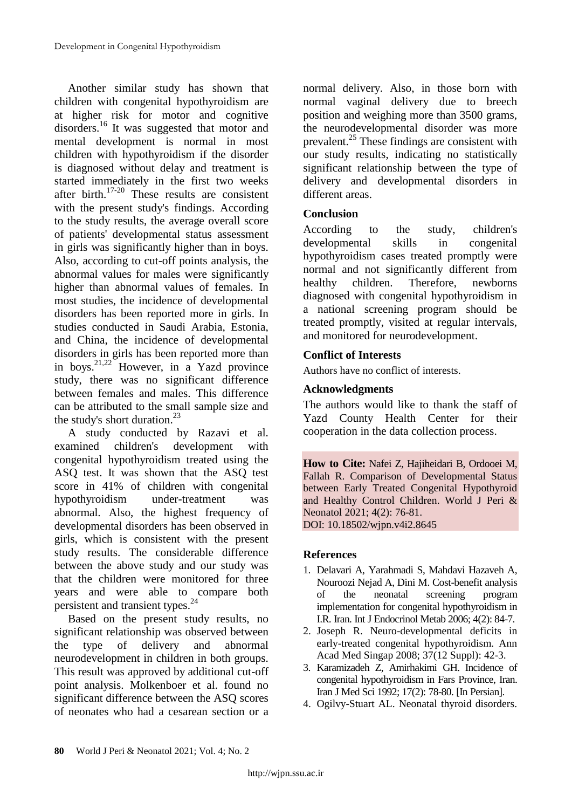Another similar study has shown that children with congenital hypothyroidism are at higher risk for motor and cognitive disorders.<sup>16</sup> It was suggested that motor and mental development is normal in most children with hypothyroidism if the disorder is diagnosed without delay and treatment is started immediately in the first two weeks after birth.<sup>17-20</sup> These results are consistent with the present study's findings. According to the study results, the average overall score of patients' developmental status assessment in girls was significantly higher than in boys. Also, according to cut-off points analysis, the abnormal values for males were significantly higher than abnormal values of females. In most studies, the incidence of developmental disorders has been reported more in girls. In studies conducted in Saudi Arabia, Estonia, and China, the incidence of developmental disorders in girls has been reported more than in boys.<sup>21,22</sup> However, in a Yazd province study, there was no significant difference between females and males. This difference can be attributed to the small sample size and the study's short duration. $^{23}$ 

A study conducted by Razavi et al. examined children's development with congenital hypothyroidism treated using the ASQ test. It was shown that the ASQ test score in 41% of children with congenital hypothyroidism under-treatment was abnormal. Also, the highest frequency of developmental disorders has been observed in girls, which is consistent with the present study results. The considerable difference between the above study and our study was that the children were monitored for three years and were able to compare both persistent and transient types.<sup>24</sup>

Based on the present study results, no significant relationship was observed between the type of delivery and abnormal neurodevelopment in children in both groups. This result was approved by additional cut-off point analysis. Molkenboer et al. found no significant difference between the ASQ scores of neonates who had a cesarean section or a

normal delivery. Also, in those born with normal vaginal delivery due to breech position and weighing more than 3500 grams, the neurodevelopmental disorder was more prevalent.<sup>25</sup> These findings are consistent with our study results, indicating no statistically significant relationship between the type of delivery and developmental disorders in different areas.

# **Conclusion**

According to the study, children's developmental skills in congenital hypothyroidism cases treated promptly were normal and not significantly different from healthy children. Therefore, newborns diagnosed with congenital hypothyroidism in a national screening program should be treated promptly, visited at regular intervals, and monitored for neurodevelopment.

# **Conflict of Interests**

Authors have no conflict of interests.

# **Acknowledgments**

The authors would like to thank the staff of Yazd County Health Center for their cooperation in the data collection process.

**How to Cite:** Nafei Z, Hajiheidari B, Ordooei M, Fallah R. Comparison of Developmental Status between Early Treated Congenital Hypothyroid and Healthy Control Children. World J Peri & Neonatol 2021; 4(2): 76-81. DOI: 10.18502/wjpn.v4i2.8645

## **References**

- 1. Delavari A, Yarahmadi S, Mahdavi Hazaveh A, Nouroozi Nejad A, Dini M. Cost-benefit analysis of the neonatal screening program implementation for congenital hypothyroidism in I.R. Iran. Int J Endocrinol Metab 2006; 4(2): 84-7.
- 2. Joseph R. Neuro-developmental deficits in early-treated congenital hypothyroidism. Ann Acad Med Singap 2008; 37(12 Suppl): 42-3.
- 3. Karamizadeh Z, Amirhakimi GH. Incidence of congenital hypothyroidism in Fars Province, Iran. Iran J Med Sci 1992; 17(2): 78-80. [In Persian].
- 4. Ogilvy-Stuart AL. Neonatal thyroid disorders.